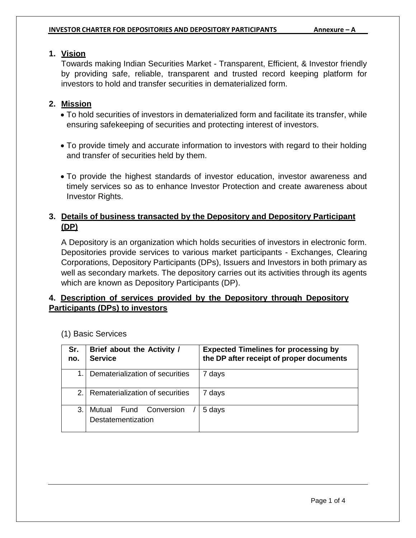# **1. Vision**

Towards making Indian Securities Market - Transparent, Efficient, & Investor friendly by providing safe, reliable, transparent and trusted record keeping platform for investors to hold and transfer securities in dematerialized form.

# **2. Mission**

- To hold securities of investors in dematerialized form and facilitate its transfer, while ensuring safekeeping of securities and protecting interest of investors.
- To provide timely and accurate information to investors with regard to their holding and transfer of securities held by them.
- To provide the highest standards of investor education, investor awareness and timely services so as to enhance Investor Protection and create awareness about Investor Rights.

# **3. Details of business transacted by the Depository and Depository Participant (DP)**

A Depository is an organization which holds securities of investors in electronic form. Depositories provide services to various market participants - Exchanges, Clearing Corporations, Depository Participants (DPs), Issuers and Investors in both primary as well as secondary markets. The depository carries out its activities through its agents which are known as Depository Participants (DP).

# **4. Description of services provided by the Depository through Depository Participants (DPs) to investors**

| Sr.<br>no. | Brief about the Activity /<br><b>Service</b>           | <b>Expected Timelines for processing by</b><br>the DP after receipt of proper documents |
|------------|--------------------------------------------------------|-----------------------------------------------------------------------------------------|
| 1.         | Dematerialization of securities                        | days                                                                                    |
| $2_{-}$    | Rematerialization of securities                        | days                                                                                    |
| 3.         | <b>Fund Conversion</b><br>Mutual<br>Destatementization | 5 days                                                                                  |

(1) Basic Services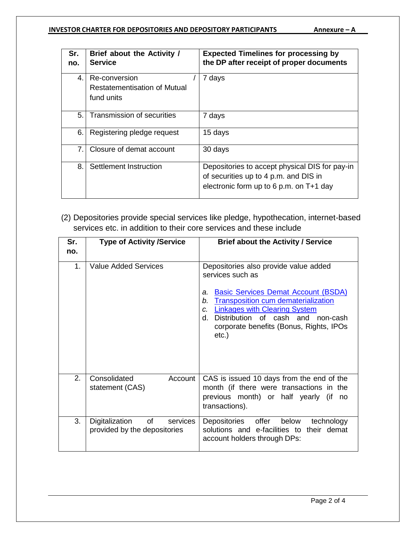#### **INVESTOR CHARTER FOR DEPOSITORIES AND DEPOSITORY PARTICIPANTS Annexure – A**

| Sr.<br>no. | Brief about the Activity /<br><b>Service</b>                       | <b>Expected Timelines for processing by</b><br>the DP after receipt of proper documents                                              |
|------------|--------------------------------------------------------------------|--------------------------------------------------------------------------------------------------------------------------------------|
| 4.         | Re-conversion<br><b>Restatementisation of Mutual</b><br>fund units | 7 days                                                                                                                               |
| 5.         | Transmission of securities                                         | 7 days                                                                                                                               |
| 6.         | Registering pledge request                                         | 15 days                                                                                                                              |
| 7.         | Closure of demat account                                           | 30 days                                                                                                                              |
| 8.         | Settlement Instruction                                             | Depositories to accept physical DIS for pay-in<br>of securities up to 4 p.m. and DIS in<br>electronic form up to 6 p.m. on $T+1$ day |

(2) Depositories provide special services like pledge, hypothecation, internet-based services etc. in addition to their core services and these include

| Sr.<br>no.     | <b>Type of Activity /Service</b>                                             | <b>Brief about the Activity / Service</b>                                                                                                                                                                                                                                                                      |
|----------------|------------------------------------------------------------------------------|----------------------------------------------------------------------------------------------------------------------------------------------------------------------------------------------------------------------------------------------------------------------------------------------------------------|
| 1 <sub>1</sub> | Value Added Services                                                         | Depositories also provide value added<br>services such as<br><b>Basic Services Demat Account (BSDA)</b><br>a.<br><b>Transposition cum dematerialization</b><br>b.<br><b>Linkages with Clearing System</b><br>C.<br>Distribution of cash and non-cash<br>d.<br>corporate benefits (Bonus, Rights, IPOs<br>etc.) |
| 2.             | Consolidated<br>Account<br>statement (CAS)                                   | CAS is issued 10 days from the end of the<br>month (if there were transactions in the<br>previous month) or half yearly (if<br>no<br>transactions).                                                                                                                                                            |
| 3.             | Digitalization<br>of the control<br>services<br>provided by the depositories | offer below<br>Depositories<br>technology<br>solutions and e-facilities to their demat<br>account holders through DPs:                                                                                                                                                                                         |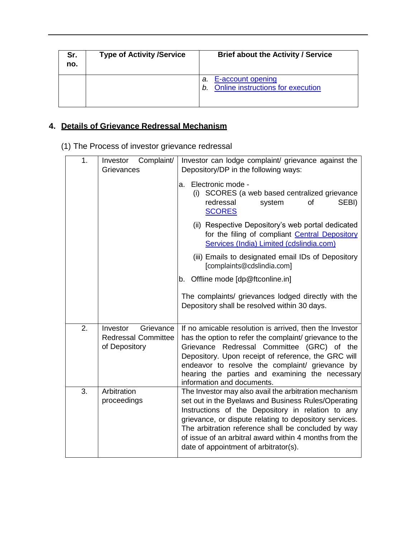| Sr.<br>no. | <b>Type of Activity /Service</b> | <b>Brief about the Activity / Service</b>                                 |
|------------|----------------------------------|---------------------------------------------------------------------------|
|            |                                  | E-account opening<br>а.<br><b>Online instructions for execution</b><br>b. |

# **4. Details of Grievance Redressal Mechanism**

(1) The Process of investor grievance redressal

| 1. | Complaint/<br>Investor<br>Grievances                | Investor can lodge complaint/ grievance against the<br>Depository/DP in the following ways:                                                                                                                                                                           |  |
|----|-----------------------------------------------------|-----------------------------------------------------------------------------------------------------------------------------------------------------------------------------------------------------------------------------------------------------------------------|--|
|    |                                                     | Electronic mode -<br>a.<br>(i) SCORES (a web based centralized grievance<br>of<br>SEBI)<br>redressal<br>system<br><b>SCORES</b>                                                                                                                                       |  |
|    |                                                     | (ii) Respective Depository's web portal dedicated<br>for the filing of compliant Central Depository<br>Services (India) Limited (cdslindia.com)                                                                                                                       |  |
|    |                                                     | (iii) Emails to designated email IDs of Depository<br>[complaints@cdslindia.com]                                                                                                                                                                                      |  |
|    |                                                     | b. Offline mode [dp@ftconline.in]                                                                                                                                                                                                                                     |  |
|    |                                                     | The complaints/ grievances lodged directly with the<br>Depository shall be resolved within 30 days.                                                                                                                                                                   |  |
| 2. | Grievance<br>Investor<br><b>Redressal Committee</b> | If no amicable resolution is arrived, then the Investor<br>has the option to refer the complaint/ grievance to the                                                                                                                                                    |  |
|    | of Depository                                       | Grievance Redressal Committee (GRC) of the<br>Depository. Upon receipt of reference, the GRC will<br>endeavor to resolve the complaint/ grievance by<br>hearing the parties and examining the necessary<br>information and documents.                                 |  |
| 3. | Arbitration<br>proceedings                          | The Investor may also avail the arbitration mechanism<br>set out in the Byelaws and Business Rules/Operating                                                                                                                                                          |  |
|    |                                                     | Instructions of the Depository in relation to any<br>grievance, or dispute relating to depository services.<br>The arbitration reference shall be concluded by way<br>of issue of an arbitral award within 4 months from the<br>date of appointment of arbitrator(s). |  |